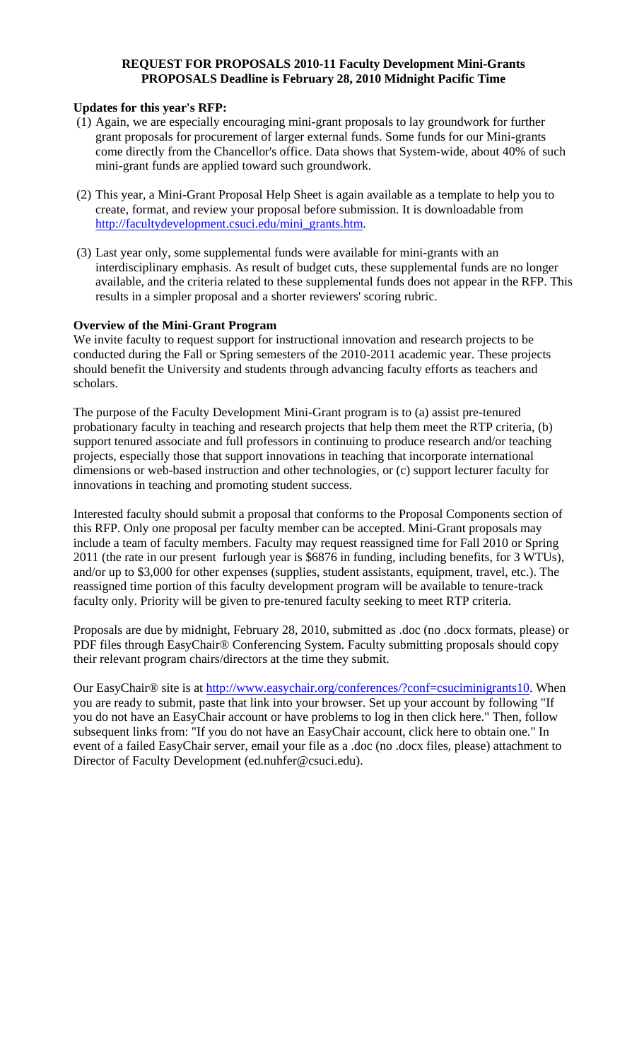# **REQUEST FOR PROPOSALS 2010-11 Faculty Development Mini-Grants PROPOSALS Deadline is February 28, 2010 Midnight Pacific Time**

### **Updates for this year's RFP:**

- (1) Again, we are especially encouraging mini-grant proposals to lay groundwork for further grant proposals for procurement of larger external funds. Some funds for our Mini-grants come directly from the Chancellor's office. Data shows that System-wide, about 40% of such mini-grant funds are applied toward such groundwork.
- (2) This year, a Mini-Grant Proposal Help Sheet is again available as a template to help you to create, format, and review your proposal before submission. It is downloadable from [http://facultydevelopment.csuci.edu/mini\\_grants.htm](http://facultydevelopment.csuci.edu/mini_grants.htm).
- (3) Last year only, some supplemental funds were available for mini-grants with an interdisciplinary emphasis. As result of budget cuts, these supplemental funds are no longer available, and the criteria related to these supplemental funds does not appear in the RFP. This results in a simpler proposal and a shorter reviewers' scoring rubric.

### **Overview of the Mini-Grant Program**

We invite faculty to request support for instructional innovation and research projects to be conducted during the Fall or Spring semesters of the 2010-2011 academic year. These projects should benefit the University and students through advancing faculty efforts as teachers and scholars.

The purpose of the Faculty Development Mini-Grant program is to (a) assist pre-tenured probationary faculty in teaching and research projects that help them meet the RTP criteria, (b) support tenured associate and full professors in continuing to produce research and/or teaching projects, especially those that support innovations in teaching that incorporate international dimensions or web-based instruction and other technologies, or (c) support lecturer faculty for innovations in teaching and promoting student success.

Interested faculty should submit a proposal that conforms to the Proposal Components section of this RFP. Only one proposal per faculty member can be accepted. Mini-Grant proposals may include a team of faculty members. Faculty may request reassigned time for Fall 2010 or Spring 2011 (the rate in our present furlough year is \$6876 in funding, including benefits, for 3 WTUs), and/or up to \$3,000 for other expenses (supplies, student assistants, equipment, travel, etc.). The reassigned time portion of this faculty development program will be available to tenure-track faculty only. Priority will be given to pre-tenured faculty seeking to meet RTP criteria.

Proposals are due by midnight, February 28, 2010, submitted as .doc (no .docx formats, please) or PDF files through EasyChair® Conferencing System. Faculty submitting proposals should copy their relevant program chairs/directors at the time they submit.

Our EasyChair<sup>®</sup> site is at <http://www.easychair.org/conferences/?conf=csuciminigrants10>. When you are ready to submit, paste that link into your browser. Set up your account by following "If you do not have an EasyChair account or have problems to log in then click here." Then, follow subsequent links from: "If you do not have an EasyChair account, click here to obtain one." In event of a failed EasyChair server, email your file as a .doc (no .docx files, please) attachment to Director of Faculty Development (ed.nuhfer@csuci.edu).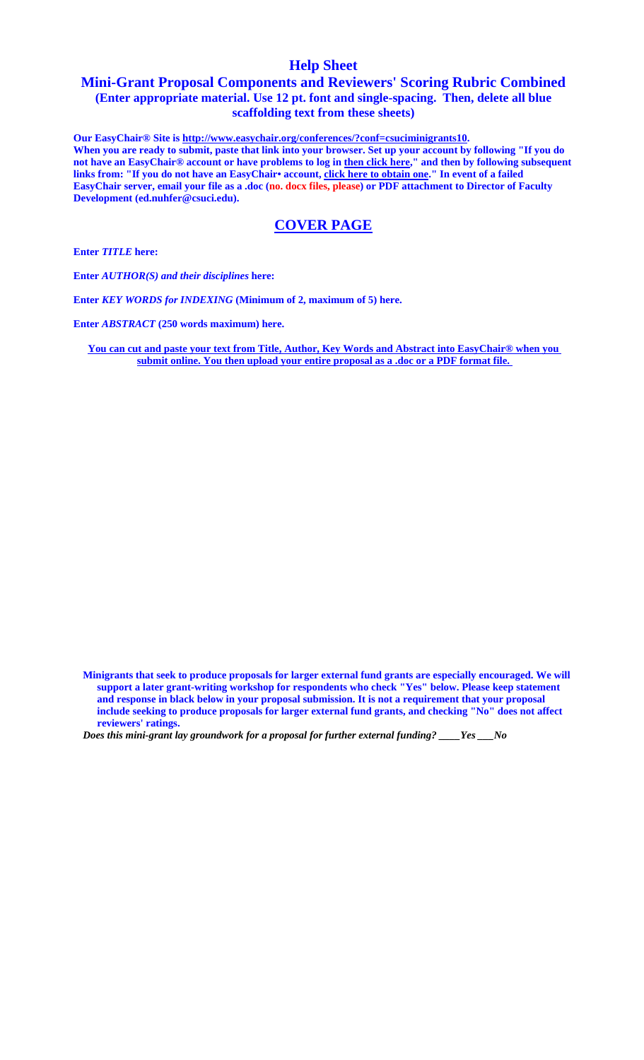# **Help Sheet**

# **Mini-Grant Proposal Components and Reviewers' Scoring Rubric Combined (Enter appropriate material. Use 12 pt. font and single-spacing. Then, delete all blue scaffolding text from these sheets)**

**Our EasyChair® Site is<http://www.easychair.org/conferences/?conf=csuciminigrants10>. When you are ready to submit, paste that link into your browser. Set up your account by following "If you do not have an EasyChair® account or have problems to log in then click here," and then by following subsequent**  links from: "If you do not have an EasyChair• account, click here to obtain one." In event of a failed **EasyChair server, email your file as a .doc (no. docx files, please) or PDF attachment to Director of Faculty Development (ed.nuhfer@csuci.edu).** 

# **COVER PAGE**

**Enter** *TITLE* **here:** 

**Enter** *AUTHOR(S) and their disciplines* **here:** 

**Enter** *KEY WORDS for INDEXING* **(Minimum of 2, maximum of 5) here.** 

**Enter** *ABSTRACT* **(250 words maximum) here.** 

**You can cut and paste your text from Title, Author, Key Words and Abstract into EasyChair® when you submit online. You then upload your entire proposal as a .doc or a PDF format file.** 

**Minigrants that seek to produce proposals for larger external fund grants are especially encouraged. We will support a later grant-writing workshop for respondents who check "Yes" below. Please keep statement and response in black below in your proposal submission. It is not a requirement that your proposal include seeking to produce proposals for larger external fund grants, and checking "No" does not affect reviewers' ratings.** 

*Does this mini-grant lay groundwork for a proposal for further external funding? \_\_\_\_Yes \_\_\_No*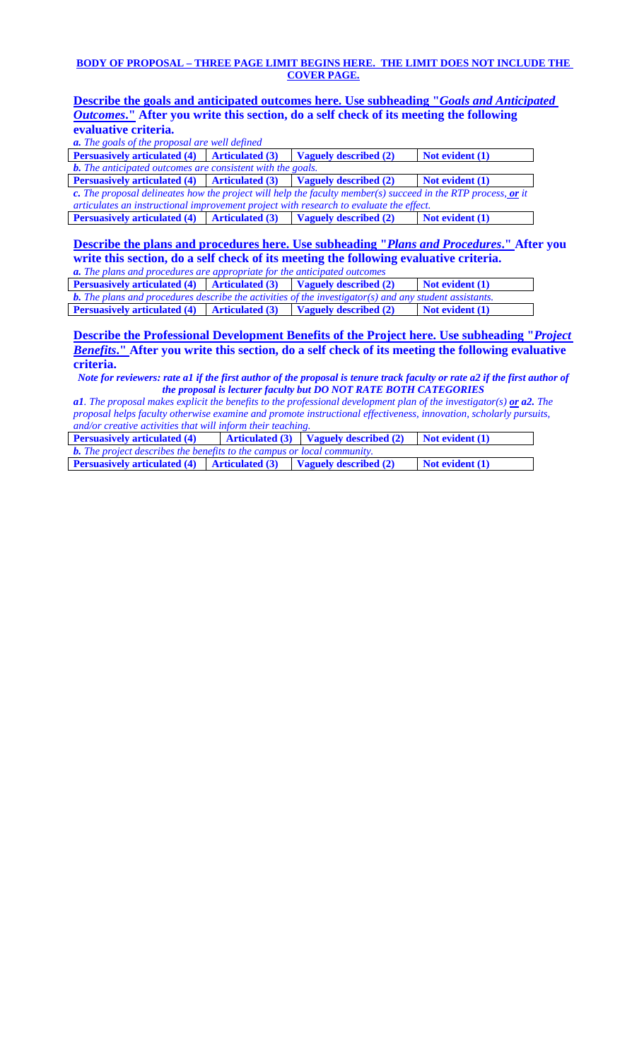#### **BODY OF PROPOSAL – THREE PAGE LIMIT BEGINS HERE. THE LIMIT DOES NOT INCLUDE THE COVER PAGE.**

**Describe the goals and anticipated outcomes here. Use subheading "***Goals and Anticipated Outcomes***." After you write this section, do a self check of its meeting the following evaluative criteria.** 

*a. The goals of the proposal are well defined* 

**Persuasively articulated (4)** Articulated (3) Vaguely described (2) Not evident (1) *b. The anticipated outcomes are consistent with the goals.* 

**Persuasively articulated (4)** Articulated (3) Vaguely described (2) Not evident (1) *c. The proposal delineates how the project will help the faculty member(s) succeed in the RTP process, or it articulates an instructional improvement project with research to evaluate the effect.*<br>**Persuasively articulated (4) Articulated (3) Vaguely described (2) Not evident (1) Persuasively articulated (4)** Articulated (3) Vaguely described (2)

**Describe the plans and procedures here. Use subheading "***Plans and Procedures***." After you write this section, do a self check of its meeting the following evaluative criteria.**

*a. The plans and procedures are appropriate for the anticipated outcomes*  **Persuasively articulated (4)** Articulated (3) Vaguely described (2) Not evident (1)

| <b>Fersuasively articulated (4)</b> Articulated (3) vaguely described (2)                                     |  |                       | $\blacksquare$ Not evident (1) |  |
|---------------------------------------------------------------------------------------------------------------|--|-----------------------|--------------------------------|--|
| <b>b.</b> The plans and procedures describe the activities of the investigator(s) and any student assistants. |  |                       |                                |  |
| <b>Persuasively articulated (4)</b> Articulated (3)                                                           |  | Vaguely described (2) | Not evident (1)                |  |

**Describe the Professional Development Benefits of the Project here. Use subheading "***Project Benefits***." After you write this section, do a self check of its meeting the following evaluative criteria.** 

*Note for reviewers: rate a1 if the first author of the proposal is tenure track faculty or rate a2 if the first author of the proposal is lecturer faculty but DO NOT RATE BOTH CATEGORIES* 

*a1. The proposal makes explicit the benefits to the professional development plan of the investigator(s) or a2. The proposal helps faculty otherwise examine and promote instructional effectiveness, innovation, scholarly pursuits, and/or creative activities that will inform their teaching.* 

| <b>Persuasively articulated (4)</b>                                                          |  | Articulated $(3)$ Vaguely described $(2)$ | $\blacksquare$ Not evident $(1)$ |  |
|----------------------------------------------------------------------------------------------|--|-------------------------------------------|----------------------------------|--|
| <b>b.</b> The project describes the benefits to the campus or local community.               |  |                                           |                                  |  |
| <b>Persuasively articulated (4)</b> $\left $ Articulated (3) $\right $ Vaguely described (2) |  |                                           | Not evident (1)                  |  |